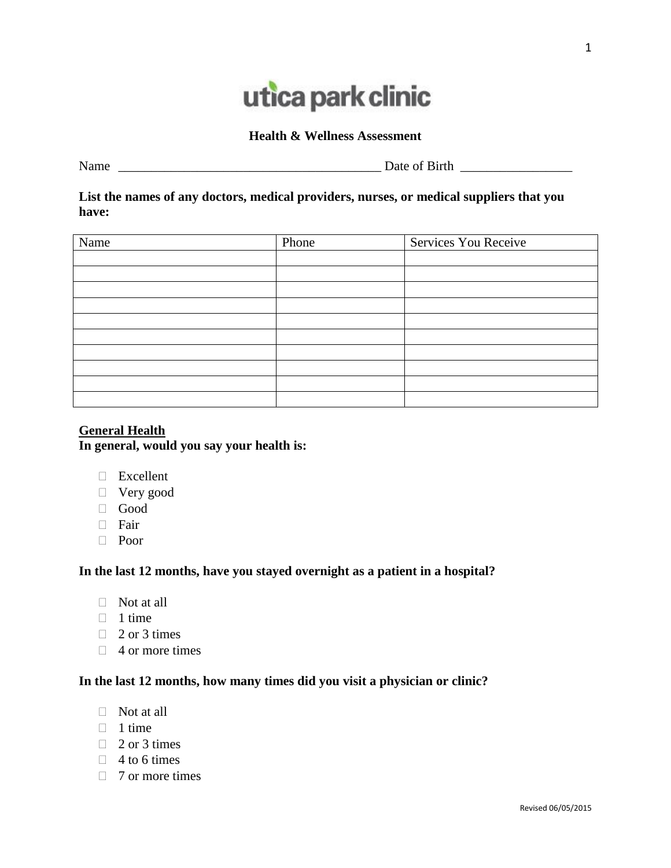# utica park clinic

#### **Health & Wellness Assessment**

Name \_\_\_\_\_\_\_\_\_\_\_\_\_\_\_\_\_\_\_\_\_\_\_\_\_\_\_\_\_\_\_\_\_\_\_\_\_\_\_\_ Date of Birth \_\_\_\_\_\_\_\_\_\_\_\_\_\_\_\_\_

**List the names of any doctors, medical providers, nurses, or medical suppliers that you have:**

| Name | Phone | Services You Receive |  |
|------|-------|----------------------|--|
|      |       |                      |  |
|      |       |                      |  |
|      |       |                      |  |
|      |       |                      |  |
|      |       |                      |  |
|      |       |                      |  |
|      |       |                      |  |
|      |       |                      |  |
|      |       |                      |  |
|      |       |                      |  |

# **General Health In general, would you say your health is:**

- Excellent
- Very good
- Good
- Fair
- D Poor

# **In the last 12 months, have you stayed overnight as a patient in a hospital?**

- $\Box$  Not at all
- $\Box$  1 time
- $\Box$  2 or 3 times
- $\Box$  4 or more times

# **In the last 12 months, how many times did you visit a physician or clinic?**

- $\Box$  Not at all
- $\Box$  1 time
- $\Box$  2 or 3 times
- $\Box$  4 to 6 times
- $\Box$  7 or more times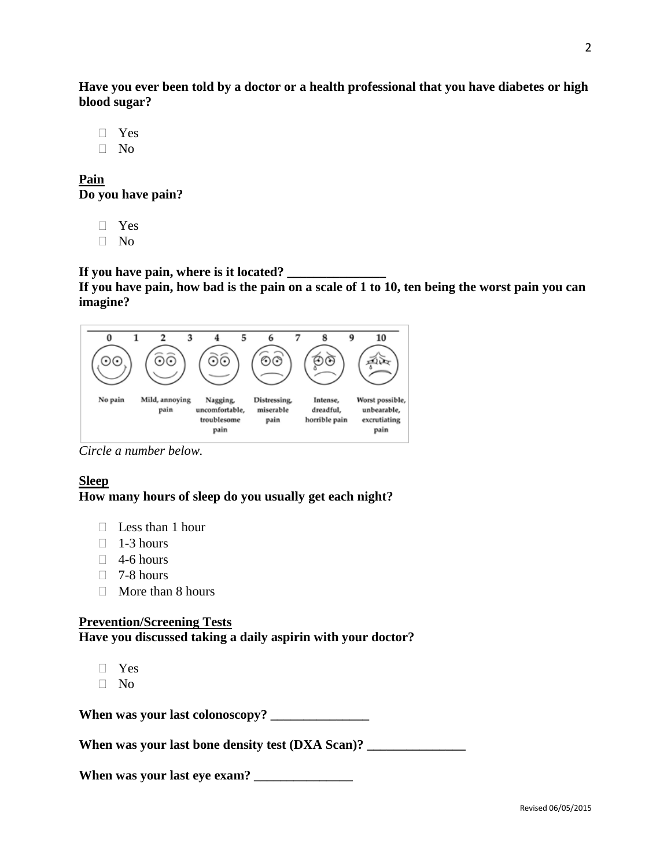**Have you ever been told by a doctor or a health professional that you have diabetes or high blood sugar?** 

- Yes
- $\neg$  No

**Pain Do you have pain?**

- Yes
- No

# If you have pain, where is it located?

**If you have pain, how bad is the pain on a scale of 1 to 10, ten being the worst pain you can imagine?**



*Circle a number below.*

# **Sleep How many hours of sleep do you usually get each night?**

- $\Box$  Less than 1 hour
- $\Box$  1-3 hours
- $\Box$  4-6 hours
- $\Box$  7-8 hours
- $\Box$  More than 8 hours

# **Prevention/Screening Tests Have you discussed taking a daily aspirin with your doctor?**

- Yes
- No

**When was your last colonoscopy? \_\_\_\_\_\_\_\_\_\_\_\_\_\_\_**

When was your last bone density test (DXA Scan)?

**When was your last eye exam? \_\_\_\_\_\_\_\_\_\_\_\_\_\_\_**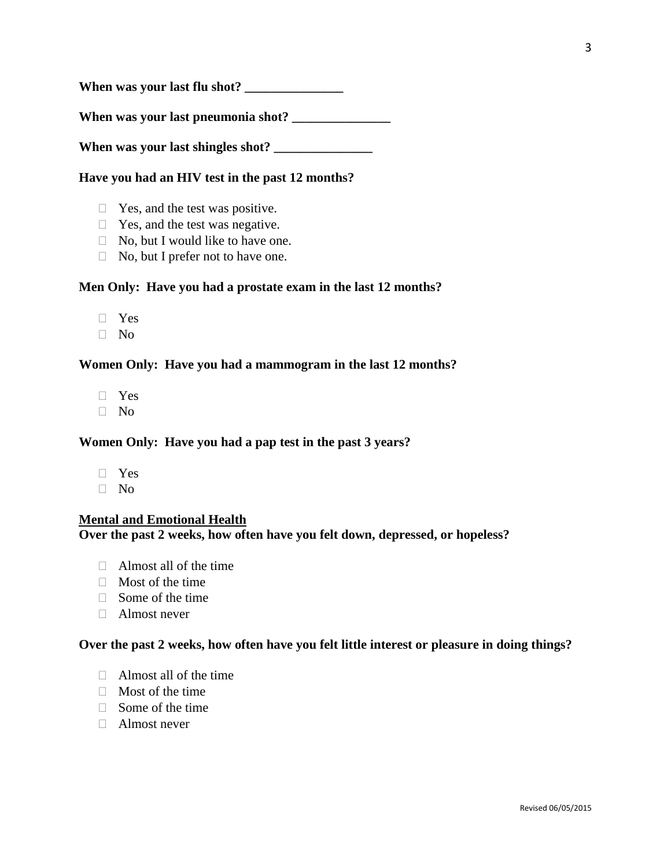**When was your last flu shot? \_\_\_\_\_\_\_\_\_\_\_\_\_\_\_**

**When was your last pneumonia shot? \_\_\_\_\_\_\_\_\_\_\_\_\_\_\_**

**When was your last shingles shot? \_\_\_\_\_\_\_\_\_\_\_\_\_\_\_**

#### **Have you had an HIV test in the past 12 months?**

- $\Box$  Yes, and the test was positive.
- $\Box$  Yes, and the test was negative.
- $\Box$  No, but I would like to have one.
- $\Box$  No, but I prefer not to have one.

#### **Men Only: Have you had a prostate exam in the last 12 months?**

- Yes
- $\Box$  No

#### **Women Only: Have you had a mammogram in the last 12 months?**

- Yes
- $\Box$  No

#### **Women Only: Have you had a pap test in the past 3 years?**

- Yes
- $\neg$  No

## **Mental and Emotional Health**

**Over the past 2 weeks, how often have you felt down, depressed, or hopeless?** 

- $\Box$  Almost all of the time
- $\Box$  Most of the time
- $\Box$  Some of the time
- $\Box$  Almost never

#### **Over the past 2 weeks, how often have you felt little interest or pleasure in doing things?**

- Almost all of the time
- $\Box$  Most of the time
- $\Box$  Some of the time
- Almost never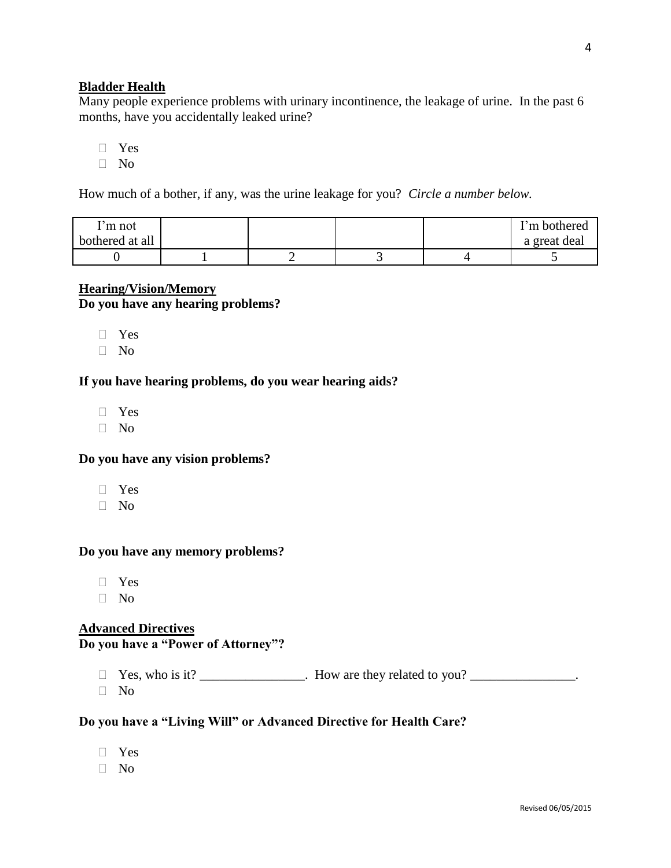## **Bladder Health**

Many people experience problems with urinary incontinence, the leakage of urine. In the past 6 months, have you accidentally leaked urine?

- $\neg$  Yes
- $\Box$  No

How much of a bother, if any, was the urine leakage for you? *Circle a number below.*

| 'm not<br>bothered at all |  |  | <b>T</b> 'm bothered<br>a great deal |
|---------------------------|--|--|--------------------------------------|
|                           |  |  |                                      |

## **Hearing/Vision/Memory**

**Do you have any hearing problems?**

- Yes
- $\neg$  No

#### **If you have hearing problems, do you wear hearing aids?**

- Yes
- $\neg$  No

## **Do you have any vision problems?**

- Yes
- No

## **Do you have any memory problems?**

- Yes
- $\Box$  No

#### **Advanced Directives**

# **Do you have a "Power of Attorney"?**

 $\Box$  Yes, who is it? \_\_\_\_\_\_\_\_\_\_\_\_. How are they related to you? \_\_\_\_\_\_\_\_\_\_\_\_\_.

 $\Box$  No

#### **Do you have a "Living Will" or Advanced Directive for Health Care?**

- Yes
- $\neg$  No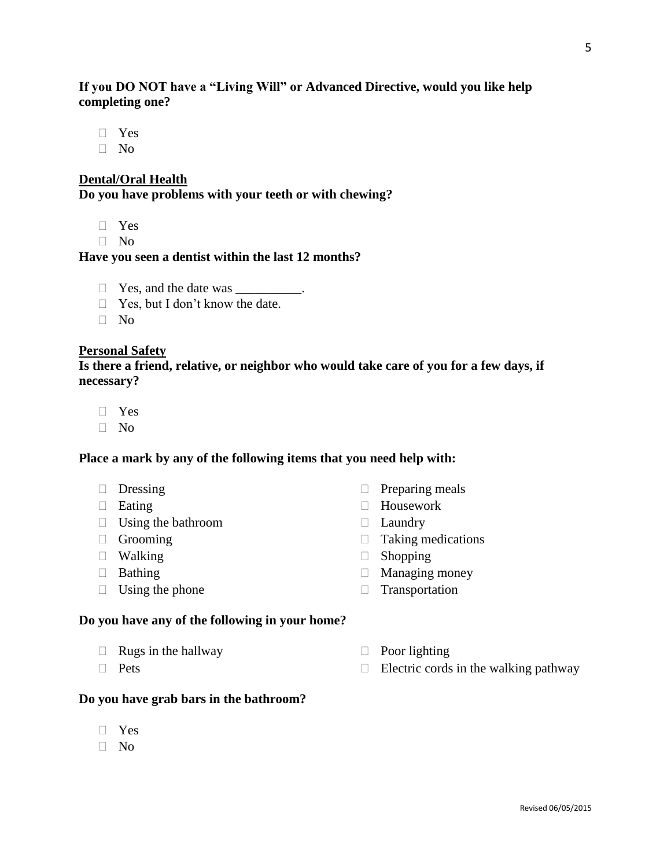# **If you DO NOT have a "Living Will" or Advanced Directive, would you like help completing one?**

- Yes
- $\Box$  No

## **Dental/Oral Health**

**Do you have problems with your teeth or with chewing?**

- Yes
- $\Box$  No

#### **Have you seen a dentist within the last 12 months?**

- □ Yes, and the date was \_\_\_\_\_\_\_\_\_\_.
- $\Box$  Yes, but I don't know the date.
- No

#### **Personal Safety**

**Is there a friend, relative, or neighbor who would take care of you for a few days, if necessary?**

- Yes
- No

## **Place a mark by any of the following items that you need help with:**

- 
- 
- $\Box$  Using the bathroom  $\Box$  Laundry
- 
- 
- 
- $\Box$  Using the phone  $\Box$  Transportation

#### **Do you have any of the following in your home?**

- $\Box$  Rugs in the hallway  $\Box$  Poor lighting
- 

## **Do you have grab bars in the bathroom?**

- Yes
- $\neg$  No
- $\Box$  Dressing  $\Box$  Preparing meals
- □ Eating Bearing Housework
	-
- $\Box$  Grooming  $\Box$  Taking medications
	-
	-
	-

Revised 06/05/2015

- 
- $\Box$  Pets  $\Box$  Electric cords in the walking pathway
- 
- 
- 
- 
- -
	-
- 
- $\Box$  Walking  $\Box$  Shopping
- $\Box$  Bathing  $\Box$  Managing money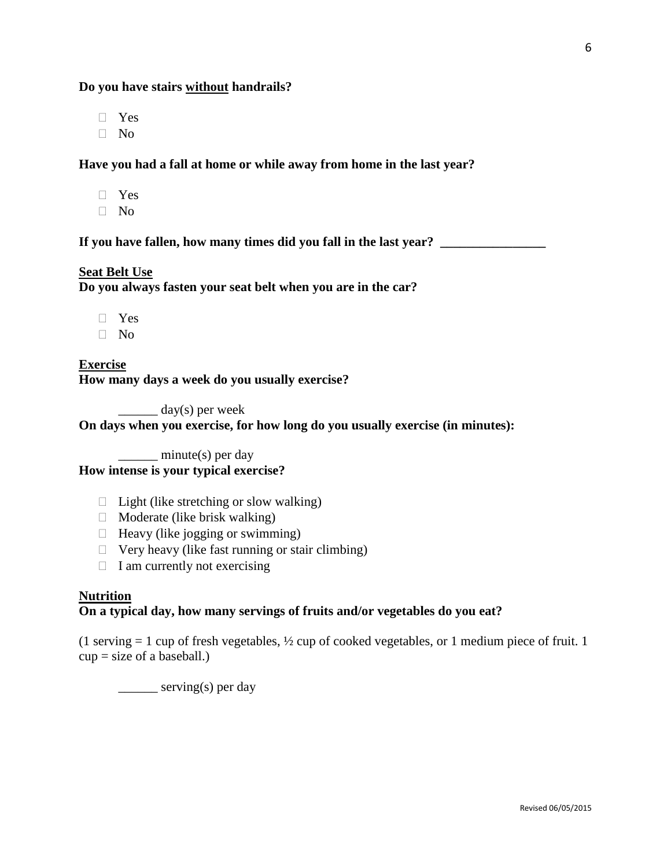#### **Do you have stairs without handrails?**

Yes

 $\neg$  No

#### **Have you had a fall at home or while away from home in the last year?**

- Yes
- $\neg$  No

If you have fallen, how many times did you fall in the last year?

# **Seat Belt Use**

**Do you always fasten your seat belt when you are in the car?** 

- Yes
- $\neg$  No

**Exercise How many days a week do you usually exercise?** 

 $\frac{day(s)}{p}$  per week

# **On days when you exercise, for how long do you usually exercise (in minutes):**

\_\_\_\_\_\_ minute(s) per day **How intense is your typical exercise?** 

- $\Box$  Light (like stretching or slow walking)
- $\Box$  Moderate (like brisk walking)
- $\Box$  Heavy (like jogging or swimming)
- $\Box$  Very heavy (like fast running or stair climbing)
- $\Box$  I am currently not exercising

## **Nutrition**

## **On a typical day, how many servings of fruits and/or vegetables do you eat?**

(1 serving  $= 1$  cup of fresh vegetables,  $\frac{1}{2}$  cup of cooked vegetables, or 1 medium piece of fruit. 1  $cup = size of a baseball.)$ 

\_\_\_\_\_\_ serving(s) per day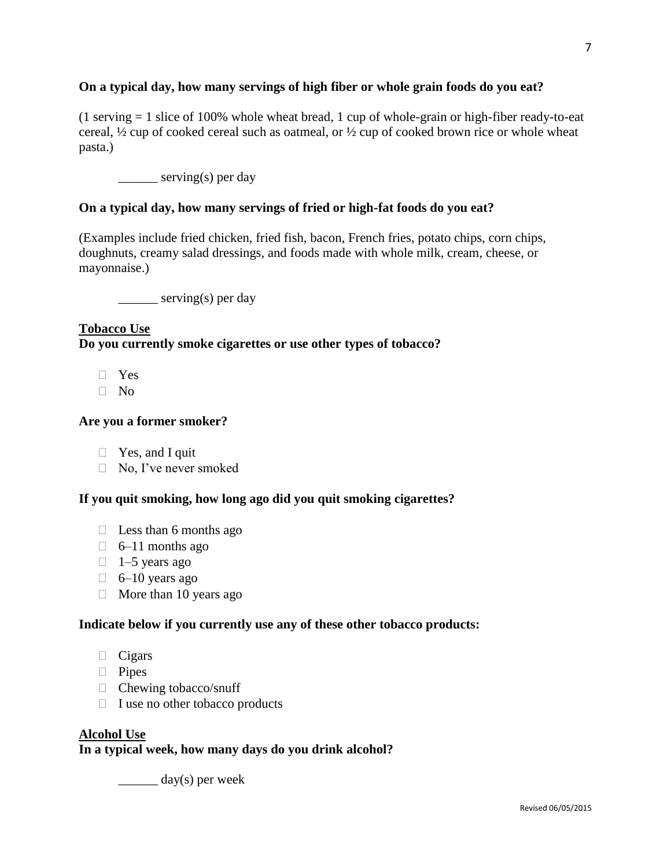# **On a typical day, how many servings of high fiber or whole grain foods do you eat?**

 $(1$  serving  $= 1$  slice of 100% whole wheat bread, 1 cup of whole-grain or high-fiber ready-to-eat cereal, ½ cup of cooked cereal such as oatmeal, or ½ cup of cooked brown rice or whole wheat pasta.)

\_\_\_\_\_\_\_ serving(s) per day

# **On a typical day, how many servings of fried or high-fat foods do you eat?**

(Examples include fried chicken, fried fish, bacon, French fries, potato chips, corn chips, doughnuts, creamy salad dressings, and foods made with whole milk, cream, cheese, or mayonnaise.)

\_\_\_\_\_\_\_ serving(s) per day

# **Tobacco Use Do you currently smoke cigarettes or use other types of tobacco?**

- $\neg$  Yes
- $\neg$  No

# **Are you a former smoker?**

- $\Box$  Yes, and I quit
- □ No, I've never smoked

# **If you quit smoking, how long ago did you quit smoking cigarettes?**

- $\Box$  Less than 6 months ago
- $\Box$  6–11 months ago
- $\Box$  1–5 years ago
- $\Box$  6–10 years ago
- $\Box$  More than 10 years ago

#### **Indicate below if you currently use any of these other tobacco products:**

- $\Box$  Cigars
- **Pipes**
- $\Box$  Chewing tobacco/snuff
- $\Box$  I use no other tobacco products

# **Alcohol Use In a typical week, how many days do you drink alcohol?**

 $\frac{day(s)}{s}$  per week